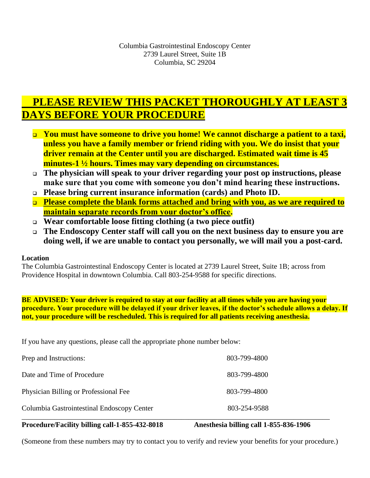## **PLEASE REVIEW THIS PACKET THOROUGHLY AT LEAST 3 DAYS BEFORE YOUR PROCEDURE**

- ❑ **You must have someone to drive you home! We cannot discharge a patient to a taxi, unless you have a family member or friend riding with you. We do insist that your driver remain at the Center until you are discharged. Estimated wait time is 45 minutes-1 ½ hours. Times may vary depending on circumstances.**
- ❑ **The physician will speak to your driver regarding your post op instructions, please make sure that you come with someone you don't mind hearing these instructions.**
- ❑ **Please bring current insurance information (cards) and Photo ID.**
- ❑ **Please complete the blank forms attached and bring with you, as we are required to maintain separate records from your doctor's office.**
- ❑ **Wear comfortable loose fitting clothing (a two piece outfit)**
- ❑ **The Endoscopy Center staff will call you on the next business day to ensure you are doing well, if we are unable to contact you personally, we will mail you a post-card.**

#### **Location**

The Columbia Gastrointestinal Endoscopy Center is located at 2739 Laurel Street, Suite 1B; across from Providence Hospital in downtown Columbia. Call 803-254-9588 for specific directions.

#### **BE ADVISED: Your driver is required to stay at our facility at all times while you are having your procedure. Your procedure will be delayed if your driver leaves, if the doctor's schedule allows a delay. If not, your procedure will be rescheduled. This is required for all patients receiving anesthesia.**

If you have any questions, please call the appropriate phone number below:

| Prep and Instructions:                     | 803-799-4800 |
|--------------------------------------------|--------------|
| Date and Time of Procedure                 | 803-799-4800 |
| Physician Billing or Professional Fee      | 803-799-4800 |
| Columbia Gastrointestinal Endoscopy Center | 803-254-9588 |

#### **Procedure/Facility billing call-1-855-432-8018 Anesthesia billing call 1-855-836-1906**

(Someone from these numbers may try to contact you to verify and review your benefits for your procedure.)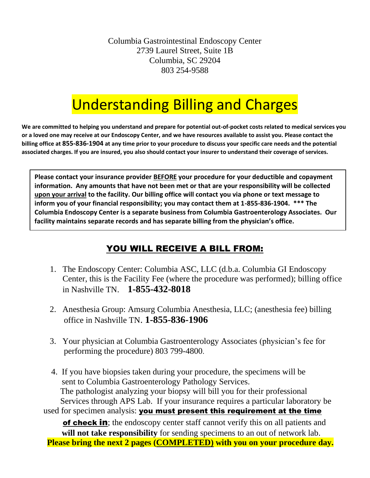Columbia Gastrointestinal Endoscopy Center 2739 Laurel Street, Suite 1B Columbia, SC 29204 803 254-9588

# Understanding Billing and Charges

**We are committed to helping you understand and prepare for potential out-of-pocket costs related to medical services you or a loved one may receive at our Endoscopy Center, and we have resources available to assist you. Please contact the billing office at 855-836-1904 at any time prior to your procedure to discuss your specific care needs and the potential associated charges. If you are insured, you also should contact your insurer to understand their coverage of services.**

**Please contact your insurance provider BEFORE your procedure for your deductible and copayment information. Any amounts that have not been met or that are your responsibility will be collected upon your arrival to the facility. Our billing office will contact you via phone or text message to inform you of your financial responsibility; you may contact them at 1-855-836-1904. \*\*\* The Columbia Endoscopy Center is a separate business from Columbia Gastroenterology Associates. Our facility maintains separate records and has separate billing from the physician's office.**

## YOU WILL RECEIVE A BILL FROM:

- 1. The Endoscopy Center: Columbia ASC, LLC (d.b.a. Columbia GI Endoscopy Center, this is the Facility Fee (where the procedure was performed); billing office in Nashville TN. **1-855-432-8018**
- 2. Anesthesia Group: Amsurg Columbia Anesthesia, LLC; (anesthesia fee) billing office in Nashville TN. **1-855-836-1906**
- 3. Your physician at Columbia Gastroenterology Associates (physician's fee for performing the procedure) 803 799-4800.

 4. If you have biopsies taken during your procedure, the specimens will be sent to Columbia Gastroenterology Pathology Services. The pathologist analyzing your biopsy will bill you for their professional Services through APS Lab. If your insurance requires a particular laboratory be used for specimen analysis: you must present this requirement at the time of check in; the endoscopy center staff cannot verify this on all patients and **will not take responsibility** for sending specimens to an out of network lab. **Please bring the next 2 pages (COMPLETED) with you on your procedure day.**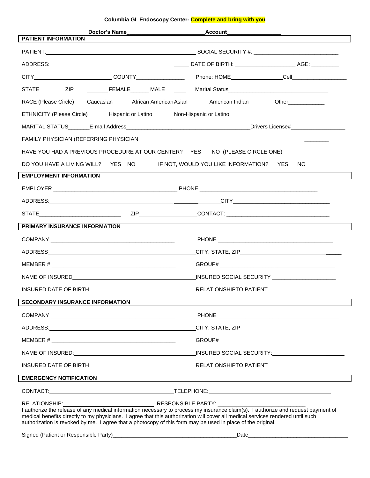#### **Columbia GI Endoscopy Center- Complete and bring with you**

| Doctor's Name                                                                                                                                                                                                                                                                                                                                                                       | _Account_                                                                                                      |  |  |
|-------------------------------------------------------------------------------------------------------------------------------------------------------------------------------------------------------------------------------------------------------------------------------------------------------------------------------------------------------------------------------------|----------------------------------------------------------------------------------------------------------------|--|--|
| <b>PATIENT INFORMATION</b>                                                                                                                                                                                                                                                                                                                                                          |                                                                                                                |  |  |
|                                                                                                                                                                                                                                                                                                                                                                                     |                                                                                                                |  |  |
|                                                                                                                                                                                                                                                                                                                                                                                     |                                                                                                                |  |  |
|                                                                                                                                                                                                                                                                                                                                                                                     | CITY____________________________COUNTY_________________________Phone: HOME_________________Cell_______________ |  |  |
|                                                                                                                                                                                                                                                                                                                                                                                     |                                                                                                                |  |  |
|                                                                                                                                                                                                                                                                                                                                                                                     | RACE (Please Circle) Caucasian African American Asian American Indian<br>Other_____________                    |  |  |
|                                                                                                                                                                                                                                                                                                                                                                                     | ETHNICITY (Please Circle) Hispanic or Latino Non-Hispanic or Latino                                            |  |  |
|                                                                                                                                                                                                                                                                                                                                                                                     |                                                                                                                |  |  |
|                                                                                                                                                                                                                                                                                                                                                                                     |                                                                                                                |  |  |
|                                                                                                                                                                                                                                                                                                                                                                                     | HAVE YOU HAD A PREVIOUS PROCEDURE AT OUR CENTER? YES NO (PLEASE CIRCLE ONE)                                    |  |  |
|                                                                                                                                                                                                                                                                                                                                                                                     | DO YOU HAVE A LIVING WILL? YES NO IF NOT, WOULD YOU LIKE INFORMATION? YES<br>NO.                               |  |  |
| <b>EMPLOYMENT INFORMATION</b>                                                                                                                                                                                                                                                                                                                                                       |                                                                                                                |  |  |
|                                                                                                                                                                                                                                                                                                                                                                                     |                                                                                                                |  |  |
|                                                                                                                                                                                                                                                                                                                                                                                     |                                                                                                                |  |  |
|                                                                                                                                                                                                                                                                                                                                                                                     |                                                                                                                |  |  |
| PRIMARY INSURANCE INFORMATION                                                                                                                                                                                                                                                                                                                                                       |                                                                                                                |  |  |
|                                                                                                                                                                                                                                                                                                                                                                                     |                                                                                                                |  |  |
|                                                                                                                                                                                                                                                                                                                                                                                     |                                                                                                                |  |  |
|                                                                                                                                                                                                                                                                                                                                                                                     |                                                                                                                |  |  |
|                                                                                                                                                                                                                                                                                                                                                                                     |                                                                                                                |  |  |
|                                                                                                                                                                                                                                                                                                                                                                                     |                                                                                                                |  |  |
| <b>SECONDARY INSURANCE INFORMATION</b>                                                                                                                                                                                                                                                                                                                                              |                                                                                                                |  |  |
|                                                                                                                                                                                                                                                                                                                                                                                     |                                                                                                                |  |  |
|                                                                                                                                                                                                                                                                                                                                                                                     | CITY, STATE, ZIP                                                                                               |  |  |
|                                                                                                                                                                                                                                                                                                                                                                                     | GROUP#                                                                                                         |  |  |
|                                                                                                                                                                                                                                                                                                                                                                                     |                                                                                                                |  |  |
|                                                                                                                                                                                                                                                                                                                                                                                     |                                                                                                                |  |  |
| <b>EMERGENCY NOTIFICATION</b>                                                                                                                                                                                                                                                                                                                                                       |                                                                                                                |  |  |
|                                                                                                                                                                                                                                                                                                                                                                                     |                                                                                                                |  |  |
| I authorize the release of any medical information necessary to process my insurance claim(s). I authorize and request payment of<br>medical benefits directly to my physicians. I agree that this authorization will cover all medical services rendered until such<br>authorization is revoked by me. I agree that a photocopy of this form may be used in place of the original. |                                                                                                                |  |  |
|                                                                                                                                                                                                                                                                                                                                                                                     |                                                                                                                |  |  |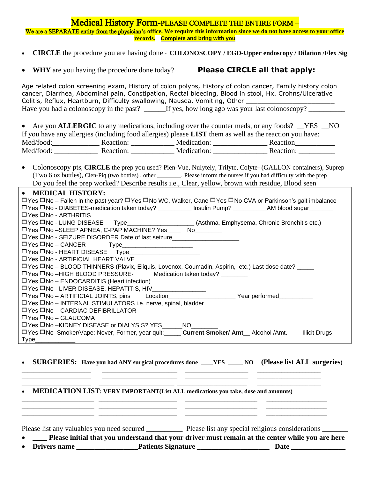#### Medical History Form-PLEASE COMPLETE THE ENTIRE FORM –

We are a SEPARATE entity from the physician's **office. We require this information since we do not have access to your office records. Complete and bring with you**

- **CIRCLE** the procedure you are having done **COLONOSCOPY / EGD-Upper endoscopy / Dilation /Flex Sig**
- **WHY** are you having the procedure done today? **Please CIRCLE all that apply:**

Age related colon screening exam, History of colon polyps, History of colon cancer, Family history colon cancer, Diarrhea, Abdominal pain, Constipation, Rectal bleeding, Blood in stool, Hx. Crohns/Ulcerative Colitis, Reflux, Heartburn, Difficulty swallowing, Nausea, Vomiting, Other \_\_\_\_\_\_\_\_\_\_\_ Have you had a colonoscopy in the past? \_\_\_\_\_\_If yes, how long ago was your last colonoscopy?

|                                                                                                                |           |             | • Are you <b>ALLERGIC</b> to any medications, including over the counter meds, or any foods? NES NO |  |  |  |
|----------------------------------------------------------------------------------------------------------------|-----------|-------------|-----------------------------------------------------------------------------------------------------|--|--|--|
| If you have any allergies (including food allergies) please <b>LIST</b> them as well as the reaction you have: |           |             |                                                                                                     |  |  |  |
| Med/food:                                                                                                      | Reaction: | Medication: | Reaction                                                                                            |  |  |  |
| Med/food:                                                                                                      | Reaction: | Medication: | Reaction:                                                                                           |  |  |  |

| • Colonoscopy pts, CIRCLE the prep you used? Pien-Vue, Nulytely, Trilyte, Colyte- (GALLON containers), Suprep       |
|---------------------------------------------------------------------------------------------------------------------|
| (Two 6 oz bottles), Clen-Piq (two bottles), other<br>. Please inform the nurses if you had difficulty with the prep |
| Do you feel the prep worked? Describe results i.e., Clear, yellow, brown with residue, Blood seen                   |

| • MEDICAL HISTORY:                                                                                                                           |
|----------------------------------------------------------------------------------------------------------------------------------------------|
| $\Box$ Yes $\Box$ No – Fallen in the past year? $\Box$ Yes $\Box$ No WC, Walker, Cane $\Box$ Yes $\Box$ No CVA or Parkinson's gait imbalance |
| □ Yes □ No - DIABETES-medication taken today? _________ Insulin Pump? __________AM blood sugar_______                                        |
| $\Box$ Yes $\Box$ No - ARTHRITIS                                                                                                             |
| □ Yes □ No - LUNG DISEASE Type_____________________(Asthma, Emphysema, Chronic Bronchitis etc.)                                              |
| $\square$ Yes $\square$ No –SLEEP APNEA, C-PAP MACHINE? Yes $\square$ No                                                                     |
| □ Yes □ No - SEIZURE DISORDER Date of last seizure______________________________                                                             |
|                                                                                                                                              |
| □ Yes □ No - HEART DISEASE Type_______________________                                                                                       |
| $\Box$ Yes $\Box$ No - ARTIFICIAL HEART VALVE                                                                                                |
| □ Yes □ No - BLOOD THINNERS (Plavix, Eliquis, Lovenox, Coumadin, Aspirin, etc.) Last dose date? ____                                         |
| $\Box$ Yes $\Box$ No $-HIGH$ BLOOD PRESSURE-<br>Medication taken today? ________                                                             |
| $\Box$ Yes $\Box$ No – ENDOCARDITIS (Heart infection)                                                                                        |
| $\square$ Yes $\square$ No - LIVER DISEASE, HEPATITIS, HIV                                                                                   |
|                                                                                                                                              |
| $\Box$ Yes $\Box$ No – INTERNAL STIMULATORS i.e. nerve, spinal, bladder                                                                      |
| $\Box$ Yes $\Box$ No – CARDIAC DEFIBRILLATOR                                                                                                 |
| $\Box$ Yes $\Box$ No – GLAUCOMA                                                                                                              |
| $\square$ Yes $\square$ No -KIDNEY DISEASE or DIALYSIS? YES _______ NO _____                                                                 |
| □ Yes □ No Smoker/Vape: Never, Former, year quit: <b>Current Smoker/ Amt</b> Alcohol / Amt.<br><b>Illicit Drugs</b>                          |
| Type                                                                                                                                         |

• **SURGERIES: Have you had ANY surgical procedures done \_\_\_\_YES \_\_\_\_\_ NO (Please list ALL surgeries)**

\_\_\_\_\_\_\_\_\_\_\_\_\_\_\_\_\_\_\_\_\_\_\_ \_\_\_\_\_\_\_\_\_\_\_\_\_\_\_\_\_\_\_\_\_\_\_\_\_ \_\_\_\_\_\_\_\_\_\_\_\_\_\_\_\_\_\_\_\_\_ \_\_\_\_\_\_\_\_\_\_\_\_\_\_\_\_\_\_\_\_\_ \_\_\_\_\_\_\_\_\_\_\_\_\_\_\_\_\_\_\_\_\_\_\_ \_\_\_\_\_\_\_\_\_\_\_\_\_\_\_\_\_\_\_\_\_\_\_\_\_ \_\_\_\_\_\_\_\_\_\_\_\_\_\_\_\_\_\_\_\_\_ \_\_\_\_\_\_\_\_\_\_\_\_\_\_\_\_\_\_\_\_\_ \_\_\_\_\_\_\_\_\_\_\_\_\_\_\_\_\_\_\_\_\_\_\_ \_\_\_\_\_\_\_\_\_\_\_\_\_\_\_\_\_\_\_\_\_\_\_\_\_ \_\_\_\_\_\_\_\_\_\_\_\_\_\_\_\_\_\_\_\_\_\_\_ \_\_\_\_\_\_\_\_\_\_\_\_\_\_\_\_\_\_\_\_\_

\_\_\_\_\_\_\_\_\_\_\_\_\_\_\_\_\_\_\_\_\_\_\_\_ \_\_\_\_\_\_\_\_\_\_\_\_\_\_\_\_\_\_\_\_\_\_\_\_\_\_ \_\_\_\_\_\_\_\_\_\_\_\_\_\_\_\_\_\_\_\_\_\_\_\_ \_\_\_\_\_\_\_\_\_\_\_\_\_\_\_\_\_\_\_\_ \_\_\_\_\_\_\_\_\_\_\_\_\_\_\_\_\_\_\_\_\_\_\_\_ \_\_\_\_\_\_\_\_\_\_\_\_\_\_\_\_\_\_\_\_\_\_\_\_\_\_ \_\_\_\_\_\_\_\_\_\_\_\_\_\_\_\_\_\_\_\_\_\_\_\_ \_\_\_\_\_\_\_\_\_\_\_\_\_\_\_\_\_\_\_\_ \_\_\_\_\_\_\_\_\_\_\_\_\_\_\_\_\_\_\_\_\_\_\_\_ \_\_\_\_\_\_\_\_\_\_\_\_\_\_\_\_\_\_\_\_\_\_\_\_\_\_ \_\_\_\_\_\_\_\_\_\_\_\_\_\_\_\_\_\_\_\_\_\_\_\_ \_\_\_\_\_\_\_\_\_\_\_\_\_\_\_\_\_\_\_\_

• **MEDICATION LIST: VERY IMPORTANT(List ALL medications you take, dose and amounts)**

Please list any valuables you need secured Please list any special religious considerations **Please** 

• **\_\_\_\_ Please initial that you understand that your driver must remain at the center while you are here** • Drivers name **Drivers name** Patients Signature **Date Date Date Date Date Date**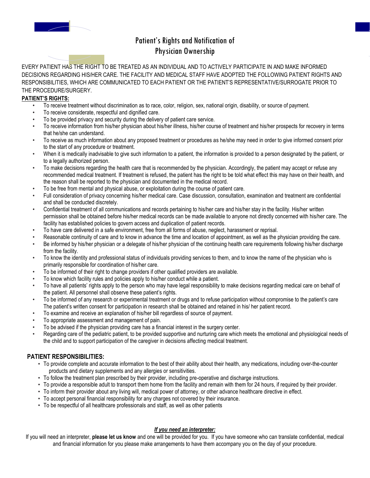

### Patient's Rights and Notification of Physician Ownership

EVERY PATIENT HAS THE RIGHT TO BE TREATED AS AN INDIVIDUAL AND TO ACTIVELY PARTICIPATE IN AND MAKE INFORMED DECISIONS REGARDING HIS/HER CARE. THE FACILITY AND MEDICAL STAFF HAVE ADOPTED THE FOLLOWING PATIENT RIGHTS AND RESPONSIBILITIES, WHICH ARE COMMUNICATED TO EACH PATIENT OR THE PATIENT'S REPRESENTATIVE/SURROGATE PRIOR TO THE PROCEDURE/SURGERY.

#### **PATIENT'S RIGHTS:**

- To receive treatment without discrimination as to race, color, religion, sex, national origin, disability, or source of payment.
- To receive considerate, respectful and dignified care.
- To be provided privacy and security during the delivery of patient care service.
- To receive information from his/her physician about his/her illness, his/her course of treatment and his/her prospects for recovery in terms that he/she can understand.
- To receive as much information about any proposed treatment or procedures as he/she may need in order to give informed consent prior to the start of any procedure or treatment.
- When it is medically inadvisable to give such information to a patient, the information is provided to a person designated by the patient, or to a legally authorized person.
- To make decisions regarding the health care that is recommended by the physician. Accordingly, the patient may accept or refuse any recommended medical treatment. If treatment is refused, the patient has the right to be told what effect this may have on their health, and the reason shall be reported to the physician and documented in the medical record.
- To be free from mental and physical abuse, or exploitation during the course of patient care.
- Full consideration of privacy concerning his/her medical care. Case discussion, consultation, examination and treatment are confidential and shall be conducted discretely.
- Confidential treatment of all communications and records pertaining to his/her care and his/her stay in the facility. His/her written permission shall be obtained before his/her medical records can be made available to anyone not directly concerned with his/her care. The facility has established policies to govern access and duplication of patient records.
- To have care delivered in a safe environment, free from all forms of abuse, neglect, harassment or reprisal.
- Reasonable continuity of care and to know in advance the time and location of appointment, as well as the physician providing the care.
- Be informed by his/her physician or a delegate of his/her physician of the continuing health care requirements following his/her discharge from the facility.
- To know the identity and professional status of individuals providing services to them, and to know the name of the physician who is primarily responsible for coordination of his/her care.
- To be informed of their right to change providers if other qualified providers are available.
- To know which facility rules and policies apply to his/her conduct while a patient.
- To have all patients' rights apply to the person who may have legal responsibility to make decisions regarding medical care on behalf of the patient. All personnel shall observe these patient's rights.
- To be informed of any research or experimental treatment or drugs and to refuse participation without compromise to the patient's care The patient's written consent for participation in research shall be obtained and retained in his/ her patient record.
- To examine and receive an explanation of his/her bill regardless of source of payment.
- To appropriate assessment and management of pain.
- To be advised if the physician providing care has a financial interest in the surgery center.
- Regarding care of the pediatric patient, to be provided supportive and nurturing care which meets the emotional and physiological needs of the child and to support participation of the caregiver in decisions affecting medical treatment.

#### **PATIENT RESPONSIBILITIES:**

- To provide complete and accurate information to the best of their ability about their health, any medications, including over-the-counter products and dietary supplements and any allergies or sensitivities.
- To follow the treatment plan prescribed by their provider, including pre-operative and discharge instructions.
- To provide a responsible adult to transport them home from the facility and remain with them for 24 hours, if required by their provider.
- To inform their provider about any living will, medical power of attorney, or other advance healthcare directive in effect.
- To accept personal financial responsibility for any charges not covered by their insurance.
- To be respectful of all healthcare professionals and staff, as well as other patients

#### *If you need an interpreter:*

If you will need an interpreter, **please let us know** and one will be provided for you. If you have someone who can translate confidential, medical and financial information for you please make arrangements to have them accompany you on the day of your procedure.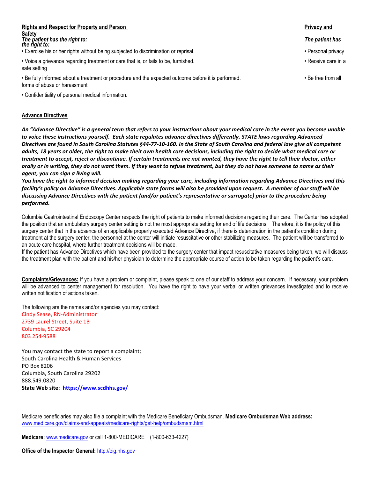| <b>Rights and Respect for Property and Person</b>                                                                                   |                     |
|-------------------------------------------------------------------------------------------------------------------------------------|---------------------|
| Safety<br>The patient has the right to:<br>the right to:                                                                            | The patient has     |
| . Exercise his or her rights without being subjected to discrimination or reprisal.                                                 | • Personal privacy  |
| • Voice a grievance regarding treatment or care that is, or fails to be, furnished.<br>safe setting                                 | • Receive care in a |
| . Be fully informed about a treatment or procedure and the expected outcome before it is performed.<br>forms of abuse or harassment | • Be free from all  |

• Confidentiality of personal medical information.

#### **Advance Directives**

*An "Advance Directive" is a general term that refers to your instructions about your medical care in the event you become unable to voice these instructions yourself. Each state regulates advance directives differently. STATE laws regarding Advanced Directives are found in South Carolina Statutes §44-77-10-160. In the State of South Carolina and federal law give all competent adults, 18 years or older, the right to make their own health care decisions, including the right to decide what medical care or treatment to accept, reject or discontinue. If certain treatments are not wanted, they have the right to tell their doctor, either orally or in writing, they do not want them. If they want to refuse treatment, but they do not have someone to name as their agent, you can sign a living will.*

*You have the right to informed decision making regarding your care, including information regarding Advance Directives and this*  facility's policy on Advance Directives. Applicable state forms will also be provided upon request. A member of our staff will be *discussing Advance Directives with the patient (and/or patient's representative or surrogate) prior to the procedure being performed.*

Columbia Gastrointestinal Endoscopy Center respects the right of patients to make informed decisions regarding their care. The Center has adopted the position that an ambulatory surgery center setting is not the most appropriate setting for end of life decisions. Therefore, it is the policy of this surgery center that in the absence of an applicable properly executed Advance Directive, if there is deterioration in the patient's condition during treatment at the surgery center, the personnel at the center will initiate resuscitative or other stabilizing measures. The patient will be transferred to an acute care hospital, where further treatment decisions will be made.

If the patient has Advance Directives which have been provided to the surgery center that impact resuscitative measures being taken, we will discuss the treatment plan with the patient and his/her physician to determine the appropriate course of action to be taken regarding the patient's care.

**Complaints/Grievances:** If you have a problem or complaint, please speak to one of our staff to address your concern. If necessary, your problem will be advanced to center management for resolution. You have the right to have your verbal or written grievances investigated and to receive written notification of actions taken.

The following are the names and/or agencies you may contact: Cindy Sease, RN-Administrator 2739 Laurel Street, Suite 1B

Columbia, SC 29204 803 254-9588

You may contact the state to report a complaint; South Carolina Health & Human Services PO Box 8206 Columbia, South Carolina 29202 888.549.0820 **State Web site: <https://www.scdhhs.gov/>**

Medicare beneficiaries may also file a complaint with the Medicare Beneficiary Ombudsman. **Medicare Ombudsman Web address:**  www.medicare.gov/claims-and-appeals/medicare-rights/get-help/ombudsmam.html

**Medicare:** [www.medicare.gov](http://www.medicare.gov/) or call 1-800-MEDICARE (1-800-633-4227)

**Office of the Inspector General:** [http://oig.hhs.gov](http://oig.hhs.gov/)